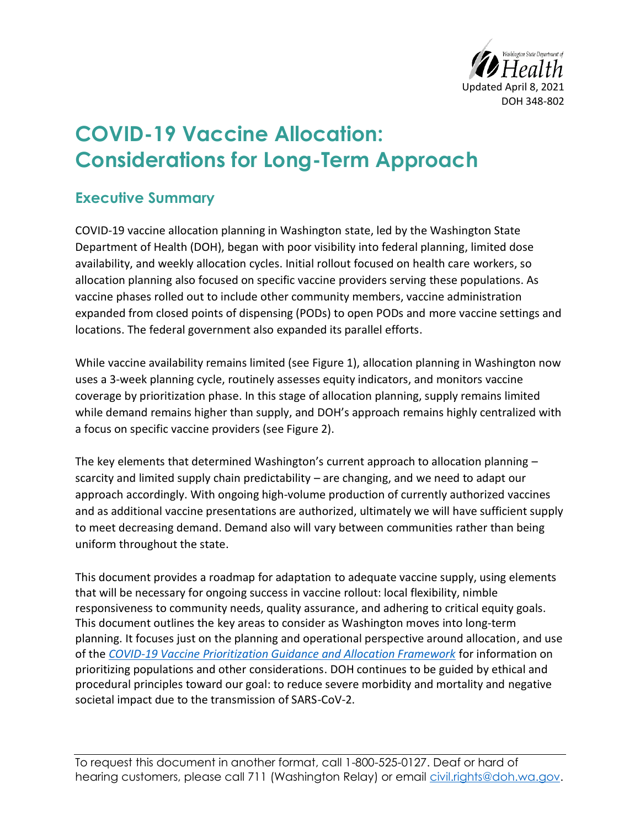

# **COVID-19 Vaccine Allocation: Considerations for Long-Term Approach**

# **Executive Summary**

COVID-19 vaccine allocation planning in Washington state, led by the Washington State Department of Health (DOH), began with poor visibility into federal planning, limited dose availability, and weekly allocation cycles. Initial rollout focused on health care workers, so allocation planning also focused on specific vaccine providers serving these populations. As vaccine phases rolled out to include other community members, vaccine administration expanded from closed points of dispensing (PODs) to open PODs and more vaccine settings and locations. The federal government also expanded its parallel efforts.

While vaccine availability remains limited (see Figure 1), allocation planning in Washington now uses a 3-week planning cycle, routinely assesses equity indicators, and monitors vaccine coverage by prioritization phase. In this stage of allocation planning, supply remains limited while demand remains higher than supply, and DOH's approach remains highly centralized with a focus on specific vaccine providers (see Figure 2).

The key elements that determined Washington's current approach to allocation planning – scarcity and limited supply chain predictability – are changing, and we need to adapt our approach accordingly. With ongoing high-volume production of currently authorized vaccines and as additional vaccine presentations are authorized, ultimately we will have sufficient supply to meet decreasing demand. Demand also will vary between communities rather than being uniform throughout the state.

This document provides a roadmap for adaptation to adequate vaccine supply, using elements that will be necessary for ongoing success in vaccine rollout: local flexibility, nimble responsiveness to community needs, quality assurance, and adhering to critical equity goals. This document outlines the key areas to consider as Washington moves into long-term planning. It focuses just on the planning and operational perspective around allocation, and use of the *[COVID-19 Vaccine Prioritization Guidance and Allocation Framework](https://www.doh.wa.gov/Portals/1/Documents/1600/coronavirus/820-112-InterimVaccineAllocationPrioritization.pdf)* for information on prioritizing populations and other considerations. DOH continues to be guided by ethical and procedural principles toward our goal: to reduce severe morbidity and mortality and negative societal impact due to the transmission of SARS-CoV-2.

To request this document in another format, call 1-800-525-0127. Deaf or hard of hearing customers, please call 711 (Washington Relay) or email [civil.rights@doh.wa.gov.](mailto:civil.rights@doh.wa.gov)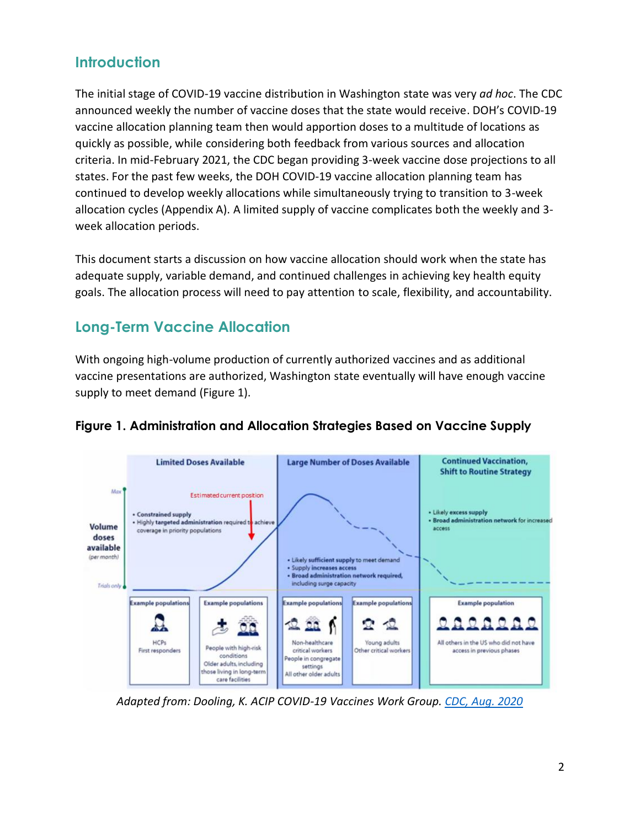# **Introduction**

The initial stage of COVID-19 vaccine distribution in Washington state was very *ad hoc*. The CDC announced weekly the number of vaccine doses that the state would receive. DOH's COVID-19 vaccine allocation planning team then would apportion doses to a multitude of locations as quickly as possible, while considering both feedback from various sources and allocation criteria. In mid-February 2021, the CDC began providing 3-week vaccine dose projections to all states. For the past few weeks, the DOH COVID-19 vaccine allocation planning team has continued to develop weekly allocations while simultaneously trying to transition to 3-week allocation cycles (Appendix A). A limited supply of vaccine complicates both the weekly and 3 week allocation periods.

This document starts a discussion on how vaccine allocation should work when the state has adequate supply, variable demand, and continued challenges in achieving key health equity goals. The allocation process will need to pay attention to scale, flexibility, and accountability.

# **Long-Term Vaccine Allocation**

With ongoing high-volume production of currently authorized vaccines and as additional vaccine presentations are authorized, Washington state eventually will have enough vaccine supply to meet demand (Figure 1).



## **Figure 1. Administration and Allocation Strategies Based on Vaccine Supply**

*Adapted from: Dooling, K. ACIP COVID-19 Vaccines Work Group. [CDC, Aug. 2020](https://www.cdc.gov/vaccines/acip/meetings/downloads/slides-2020-08/COVID-08-Dooling.pdf)*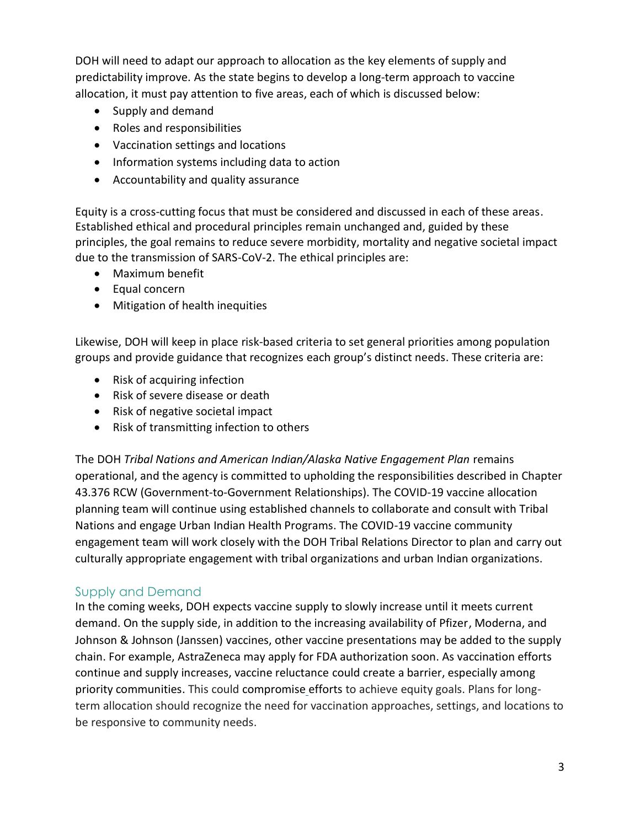DOH will need to adapt our approach to allocation as the key elements of supply and predictability improve. As the state begins to develop a long-term approach to vaccine allocation, it must pay attention to five areas, each of which is discussed below:

- Supply and demand
- Roles and responsibilities
- Vaccination settings and locations
- Information systems including data to action
- Accountability and quality assurance

Equity is a cross-cutting focus that must be considered and discussed in each of these areas. Established ethical and procedural principles remain unchanged and, guided by these principles, the goal remains to reduce severe morbidity, mortality and negative societal impact due to the transmission of SARS-CoV-2. The ethical principles are:

- Maximum benefit
- Equal concern
- Mitigation of health inequities

Likewise, DOH will keep in place risk-based criteria to set general priorities among population groups and provide guidance that recognizes each group's distinct needs. These criteria are:

- Risk of acquiring infection
- Risk of severe disease or death
- Risk of negative societal impact
- Risk of transmitting infection to others

The DOH *Tribal Nations and American Indian/Alaska Native Engagement Plan* remains operational, and the agency is committed to upholding the responsibilities described in Chapter 43.376 RCW (Government-to-Government Relationships). The COVID-19 vaccine allocation planning team will continue using established channels to collaborate and consult with Tribal Nations and engage Urban Indian Health Programs. The COVID-19 vaccine community engagement team will work closely with the DOH Tribal Relations Director to plan and carry out culturally appropriate engagement with tribal organizations and urban Indian organizations.

#### Supply and Demand

In the coming weeks, DOH expects vaccine supply to slowly increase until it meets current demand. On the supply side, in addition to the increasing availability of Pfizer, Moderna, and Johnson & Johnson (Janssen) vaccines, other vaccine presentations may be added to the supply chain. For example, AstraZeneca may apply for FDA authorization soon. As vaccination efforts continue and supply increases, vaccine reluctance could create a barrier, especially among priority communities. This could compromise efforts to achieve equity goals. Plans for longterm allocation should recognize the need for vaccination approaches, settings, and locations to be responsive to community needs.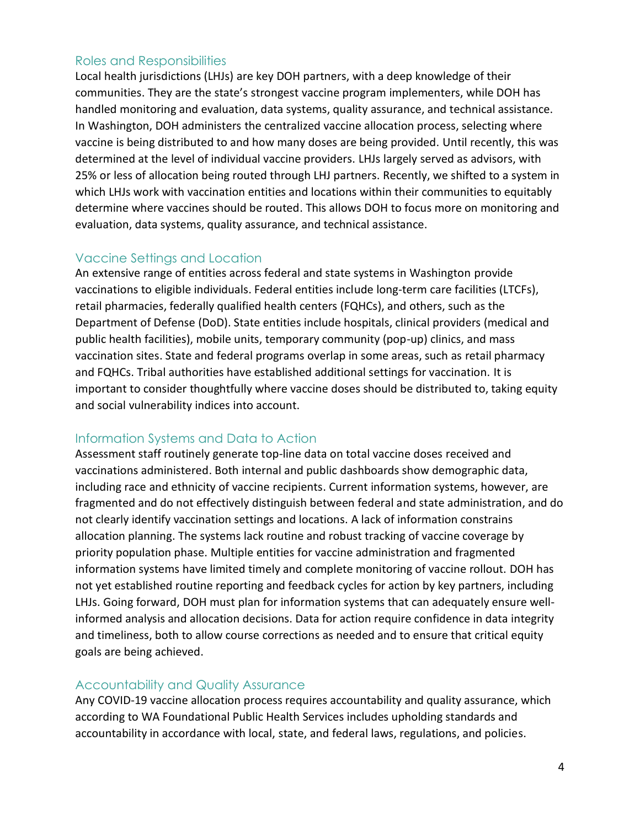#### Roles and Responsibilities

Local health jurisdictions (LHJs) are key DOH partners, with a deep knowledge of their communities. They are the state's strongest vaccine program implementers, while DOH has handled monitoring and evaluation, data systems, quality assurance, and technical assistance. In Washington, DOH administers the centralized vaccine allocation process, selecting where vaccine is being distributed to and how many doses are being provided. Until recently, this was determined at the level of individual vaccine providers. LHJs largely served as advisors, with 25% or less of allocation being routed through LHJ partners. Recently, we shifted to a system in which LHJs work with vaccination entities and locations within their communities to equitably determine where vaccines should be routed. This allows DOH to focus more on monitoring and evaluation, data systems, quality assurance, and technical assistance.

#### Vaccine Settings and Location

An extensive range of entities across federal and state systems in Washington provide vaccinations to eligible individuals. Federal entities include long-term care facilities (LTCFs), retail pharmacies, federally qualified health centers (FQHCs), and others, such as the Department of Defense (DoD). State entities include hospitals, clinical providers (medical and public health facilities), mobile units, temporary community (pop-up) clinics, and mass vaccination sites. State and federal programs overlap in some areas, such as retail pharmacy and FQHCs. Tribal authorities have established additional settings for vaccination. It is important to consider thoughtfully where vaccine doses should be distributed to, taking equity and social vulnerability indices into account.

#### Information Systems and Data to Action

Assessment staff routinely generate top-line data on total vaccine doses received and vaccinations administered. Both internal and public dashboards show demographic data, including race and ethnicity of vaccine recipients. Current information systems, however, are fragmented and do not effectively distinguish between federal and state administration, and do not clearly identify vaccination settings and locations. A lack of information constrains allocation planning. The systems lack routine and robust tracking of vaccine coverage by priority population phase. Multiple entities for vaccine administration and fragmented information systems have limited timely and complete monitoring of vaccine rollout. DOH has not yet established routine reporting and feedback cycles for action by key partners, including LHJs. Going forward, DOH must plan for information systems that can adequately ensure wellinformed analysis and allocation decisions. Data for action require confidence in data integrity and timeliness, both to allow course corrections as needed and to ensure that critical equity goals are being achieved.

## Accountability and Quality Assurance

Any COVID-19 vaccine allocation process requires accountability and quality assurance, which according to WA Foundational Public Health Services includes upholding standards and accountability in accordance with local, state, and federal laws, regulations, and policies.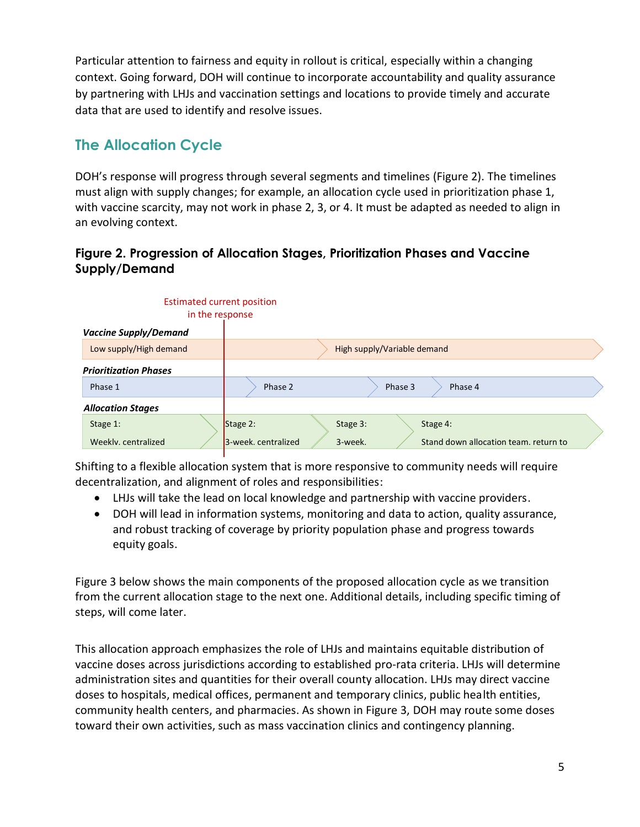Particular attention to fairness and equity in rollout is critical, especially within a changing context. Going forward, DOH will continue to incorporate accountability and quality assurance by partnering with LHJs and vaccination settings and locations to provide timely and accurate data that are used to identify and resolve issues.

# **The Allocation Cycle**

DOH's response will progress through several segments and timelines (Figure 2). The timelines must align with supply changes; for example, an allocation cycle used in prioritization phase 1, with vaccine scarcity, may not work in phase 2, 3, or 4. It must be adapted as needed to align in an evolving context.

### **Figure 2. Progression of Allocation Stages, Prioritization Phases and Vaccine Supply/Demand**

|                              |                              | <b>Estimated current position</b><br>in the response                    |  |
|------------------------------|------------------------------|-------------------------------------------------------------------------|--|
|                              | <b>Vaccine Supply/Demand</b> |                                                                         |  |
|                              | Low supply/High demand       | High supply/Variable demand                                             |  |
| <b>Prioritization Phases</b> |                              |                                                                         |  |
|                              | Phase 1                      | Phase 2<br>Phase 3<br>Phase 4                                           |  |
| <b>Allocation Stages</b>     |                              |                                                                         |  |
|                              | Stage 1:                     | Stage 2:<br>Stage 3:<br>Stage 4:                                        |  |
|                              | Weekly, centralized          | 3-week.<br>Stand down allocation team, return to<br>3-week. centralized |  |

Shifting to a flexible allocation system that is more responsive to community needs will require decentralization, and alignment of roles and responsibilities:

- LHJs will take the lead on local knowledge and partnership with vaccine providers.
- DOH will lead in information systems, monitoring and data to action, quality assurance, and robust tracking of coverage by priority population phase and progress towards equity goals.

Figure 3 below shows the main components of the proposed allocation cycle as we transition from the current allocation stage to the next one. Additional details, including specific timing of steps, will come later.

This allocation approach emphasizes the role of LHJs and maintains equitable distribution of vaccine doses across jurisdictions according to established pro-rata criteria. LHJs will determine administration sites and quantities for their overall county allocation. LHJs may direct vaccine doses to hospitals, medical offices, permanent and temporary clinics, public health entities, community health centers, and pharmacies. As shown in Figure 3, DOH may route some doses toward their own activities, such as mass vaccination clinics and contingency planning.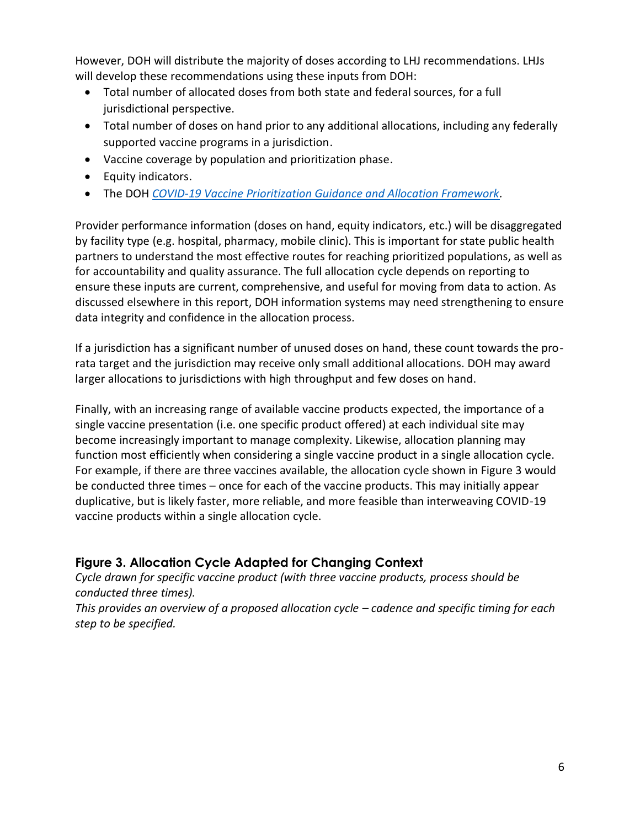However, DOH will distribute the majority of doses according to LHJ recommendations. LHJs will develop these recommendations using these inputs from DOH:

- Total number of allocated doses from both state and federal sources, for a full jurisdictional perspective.
- Total number of doses on hand prior to any additional allocations, including any federally supported vaccine programs in a jurisdiction.
- Vaccine coverage by population and prioritization phase.
- Equity indicators.
- The DOH *[COVID-19 Vaccine Prioritization Guidance and Allocation Framework.](https://www.doh.wa.gov/Portals/1/Documents/1600/coronavirus/820-112-InterimVaccineAllocationPrioritization.pdf)*

Provider performance information (doses on hand, equity indicators, etc.) will be disaggregated by facility type (e.g. hospital, pharmacy, mobile clinic). This is important for state public health partners to understand the most effective routes for reaching prioritized populations, as well as for accountability and quality assurance. The full allocation cycle depends on reporting to ensure these inputs are current, comprehensive, and useful for moving from data to action. As discussed elsewhere in this report, DOH information systems may need strengthening to ensure data integrity and confidence in the allocation process.

If a jurisdiction has a significant number of unused doses on hand, these count towards the prorata target and the jurisdiction may receive only small additional allocations. DOH may award larger allocations to jurisdictions with high throughput and few doses on hand.

Finally, with an increasing range of available vaccine products expected, the importance of a single vaccine presentation (i.e. one specific product offered) at each individual site may become increasingly important to manage complexity. Likewise, allocation planning may function most efficiently when considering a single vaccine product in a single allocation cycle. For example, if there are three vaccines available, the allocation cycle shown in Figure 3 would be conducted three times – once for each of the vaccine products. This may initially appear duplicative, but is likely faster, more reliable, and more feasible than interweaving COVID-19 vaccine products within a single allocation cycle.

## **Figure 3. Allocation Cycle Adapted for Changing Context**

*Cycle drawn for specific vaccine product (with three vaccine products, process should be conducted three times).* 

*This provides an overview of a proposed allocation cycle – cadence and specific timing for each step to be specified.*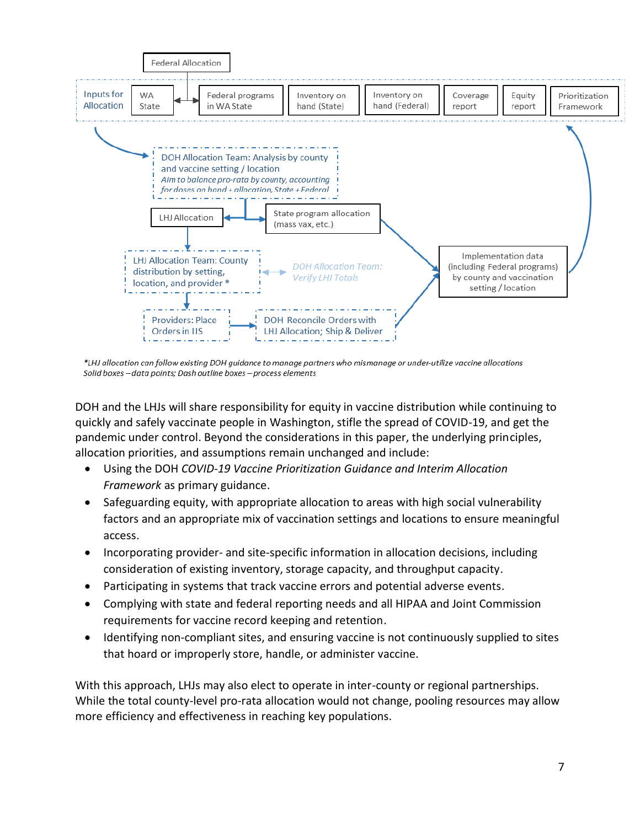

\*LHJ allocation can follow existing DOH guidance to manage partners who mismanage or under-utilize vaccine allocations Solid boxes - data points; Dash outline boxes - process elements

DOH and the LHJs will share responsibility for equity in vaccine distribution while continuing to quickly and safely vaccinate people in Washington, stifle the spread of COVID-19, and get the pandemic under control. Beyond the considerations in this paper, the underlying principles, allocation priorities, and assumptions remain unchanged and include:

- Using the DOH *[COVID-19 Vaccine Prioritization Guidance and Interim Allocation](https://www.doh.wa.gov/Portals/1/Documents/1600/coronavirus/820-112-InterimVaccineAllocationPrioritization.pdf)  [Framework](https://www.doh.wa.gov/Portals/1/Documents/1600/coronavirus/820-112-InterimVaccineAllocationPrioritization.pdf)* as primary guidance.
- Safeguarding equity, with appropriate allocation to areas with high social vulnerability factors and an appropriate mix of vaccination settings and locations to ensure meaningful access.
- Incorporating provider- and site-specific information in allocation decisions, including consideration of existing inventory, storage capacity, and throughput capacity.
- Participating in systems that track vaccine errors and potential adverse events.
- Complying with state and federal reporting needs and all HIPAA and Joint Commission requirements for vaccine record keeping and retention.
- Identifying non-compliant sites, and ensuring vaccine is not continuously supplied to sites that hoard or improperly store, handle, or administer vaccine.

With this approach, LHJs may also elect to operate in inter-county or regional partnerships. While the total county-level pro-rata allocation would not change, pooling resources may allow more efficiency and effectiveness in reaching key populations.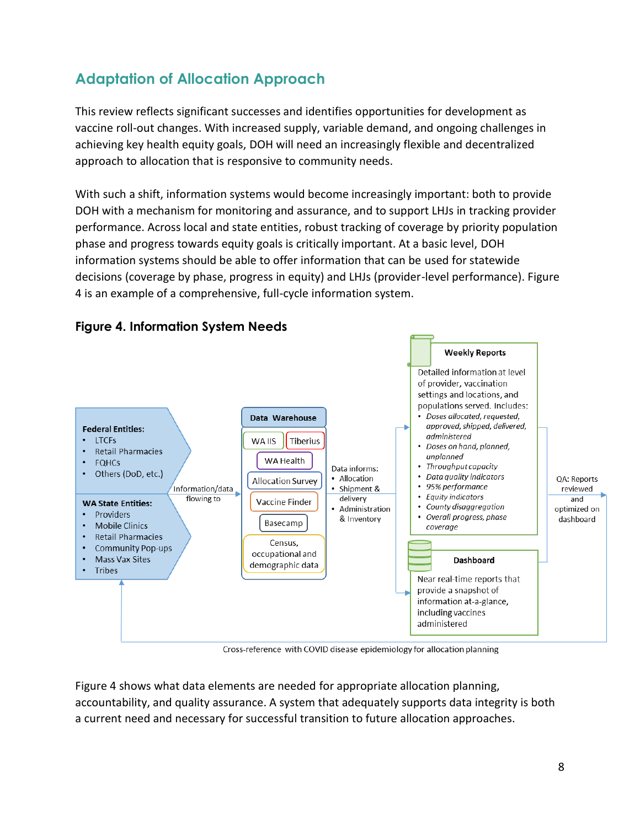# **Adaptation of Allocation Approach**

This review reflects significant successes and identifies opportunities for development as vaccine roll-out changes. With increased supply, variable demand, and ongoing challenges in achieving key health equity goals, DOH will need an increasingly flexible and decentralized approach to allocation that is responsive to community needs.

With such a shift, information systems would become increasingly important: both to provide DOH with a mechanism for monitoring and assurance, and to support LHJs in tracking provider performance. Across local and state entities, robust tracking of coverage by priority population phase and progress towards equity goals is critically important. At a basic level, DOH information systems should be able to offer information that can be used for statewide decisions (coverage by phase, progress in equity) and LHJs (provider-level performance). Figure 4 is an example of a comprehensive, full-cycle information system.



### **Figure 4. Information System Needs**

Cross-reference with COVID disease epidemiology for allocation planning

Figure 4 shows what data elements are needed for appropriate allocation planning, accountability, and quality assurance. A system that adequately supports data integrity is both a current need and necessary for successful transition to future allocation approaches.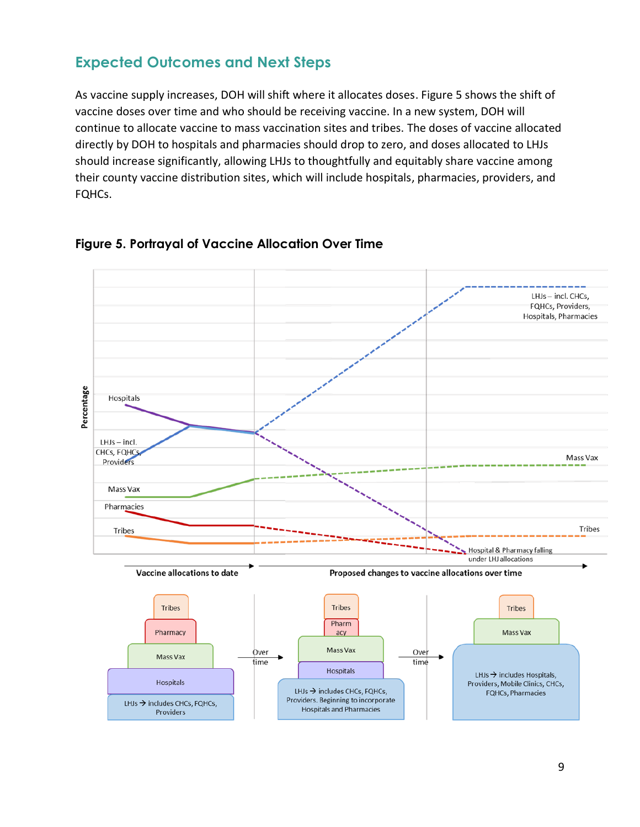## **Expected Outcomes and Next Steps**

As vaccine supply increases, DOH will shift where it allocates doses. Figure 5 shows the shift of vaccine doses over time and who should be receiving vaccine. In a new system, DOH will continue to allocate vaccine to mass vaccination sites and tribes. The doses of vaccine allocated directly by DOH to hospitals and pharmacies should drop to zero, and doses allocated to LHJs should increase significantly, allowing LHJs to thoughtfully and equitably share vaccine among their county vaccine distribution sites, which will include hospitals, pharmacies, providers, and FQHCs.



#### **Figure 5. Portrayal of Vaccine Allocation Over Time**